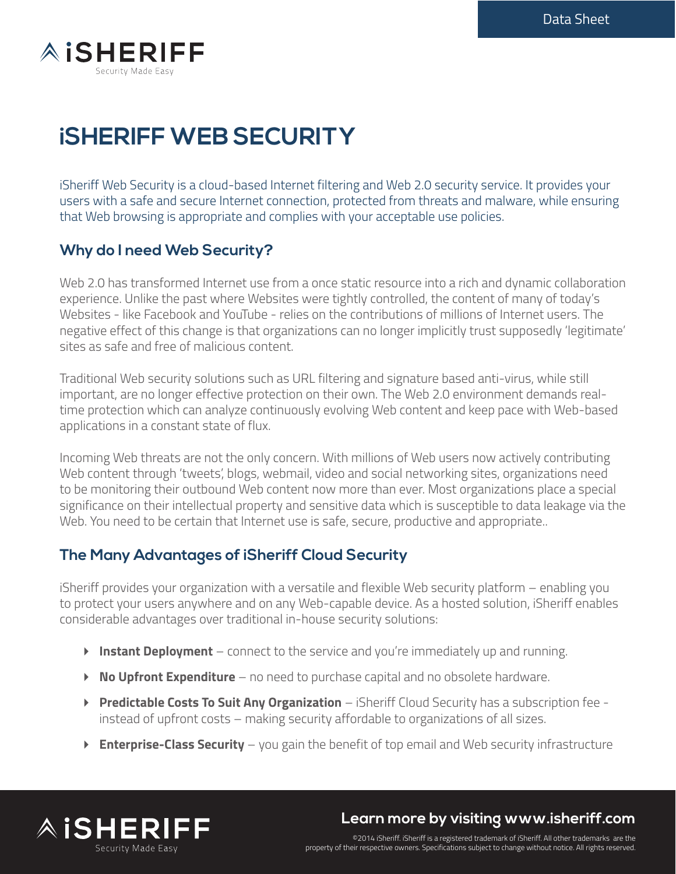

# **iSHERIFF WEB SECURITY**

iSheriff Web Security is a cloud-based Internet filtering and Web 2.0 security service. It provides your users with a safe and secure Internet connection, protected from threats and malware, while ensuring that Web browsing is appropriate and complies with your acceptable use policies.

## **Why do I need Web Security?**

Web 2.0 has transformed Internet use from a once static resource into a rich and dynamic collaboration experience. Unlike the past where Websites were tightly controlled, the content of many of today's Websites - like Facebook and YouTube - relies on the contributions of millions of Internet users. The negative effect of this change is that organizations can no longer implicitly trust supposedly 'legitimate' sites as safe and free of malicious content.

Traditional Web security solutions such as URL filtering and signature based anti-virus, while still important, are no longer effective protection on their own. The Web 2.0 environment demands realtime protection which can analyze continuously evolving Web content and keep pace with Web-based applications in a constant state of flux.

Incoming Web threats are not the only concern. With millions of Web users now actively contributing Web content through 'tweets', blogs, webmail, video and social networking sites, organizations need to be monitoring their outbound Web content now more than ever. Most organizations place a special significance on their intellectual property and sensitive data which is susceptible to data leakage via the Web. You need to be certain that Internet use is safe, secure, productive and appropriate..

### **The Many Advantages of iSheriff Cloud Security**

iSheriff provides your organization with a versatile and flexible Web security platform – enabling you to protect your users anywhere and on any Web-capable device. As a hosted solution, iSheriff enables considerable advantages over traditional in-house security solutions:

- **Instant Deployment** connect to the service and you're immediately up and running.
- **No Upfront Expenditure** no need to purchase capital and no obsolete hardware.
- **Predictable Costs To Suit Any Organization**  iSheriff Cloud Security has a subscription fee instead of upfront costs – making security affordable to organizations of all sizes.
- **Enterprise-Class Security** you gain the benefit of top email and Web security infrastructure



**Learn more by visiting www.isheriff.com**

©2014 iSheriff. iSheriff is a registered trademark of iSheriff. All other trademarks are the property of their respective owners. Specifications subject to change without notice. All rights reserved.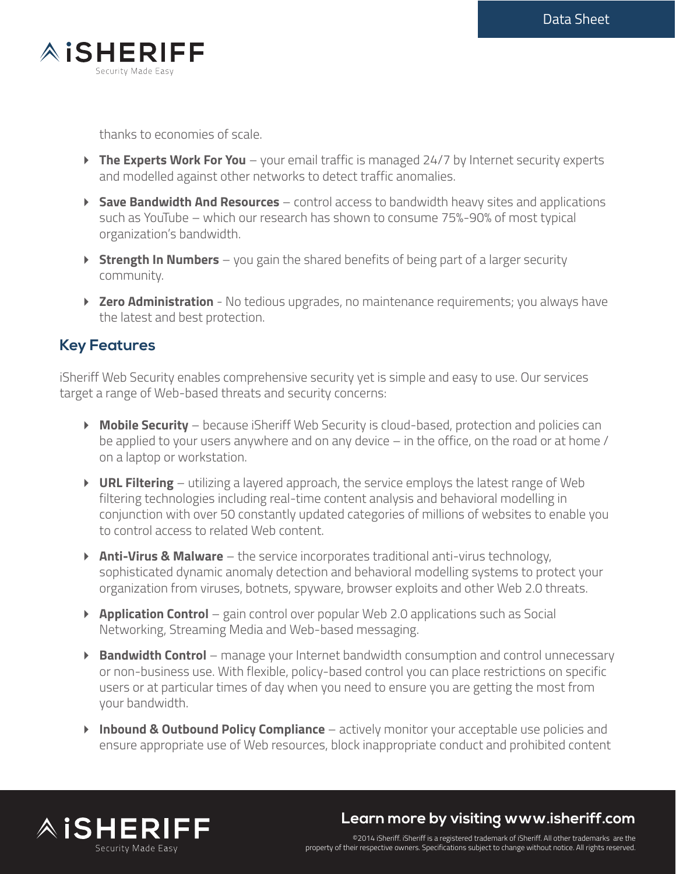

thanks to economies of scale.

- ▶ The Experts Work For You your email traffic is managed 24/7 by Internet security experts and modelled against other networks to detect traffic anomalies.
- **Save Bandwidth And Resources** control access to bandwidth heavy sites and applications such as YouTube – which our research has shown to consume 75%-90% of most typical organization's bandwidth.
- **Strength In Numbers** you gain the shared benefits of being part of a larger security community.
- ▶ **Zero Administration** No tedious upgrades, no maintenance requirements; you always have the latest and best protection.

## **Key Features**

iSheriff Web Security enables comprehensive security yet is simple and easy to use. Our services target a range of Web-based threats and security concerns:

- **Mobile Security** because iSheriff Web Security is cloud-based, protection and policies can be applied to your users anywhere and on any device – in the office, on the road or at home / on a laptop or workstation.
- **URL Filtering** utilizing a layered approach, the service employs the latest range of Web filtering technologies including real-time content analysis and behavioral modelling in conjunction with over 50 constantly updated categories of millions of websites to enable you to control access to related Web content.
- **Anti-Virus & Malware** the service incorporates traditional anti-virus technology, sophisticated dynamic anomaly detection and behavioral modelling systems to protect your organization from viruses, botnets, spyware, browser exploits and other Web 2.0 threats.
- **Application Control** gain control over popular Web 2.0 applications such as Social Networking, Streaming Media and Web-based messaging.
- **Bandwidth Control** manage your Internet bandwidth consumption and control unnecessary or non-business use. With flexible, policy-based control you can place restrictions on specific users or at particular times of day when you need to ensure you are getting the most from your bandwidth.
- **Inbound & Outbound Policy Compliance** actively monitor your acceptable use policies and ensure appropriate use of Web resources, block inappropriate conduct and prohibited content



# **Learn more by visiting www.isheriff.com**

©2014 iSheriff. iSheriff is a registered trademark of iSheriff. All other trademarks are the property of their respective owners. Specifications subject to change without notice. All rights reserved.